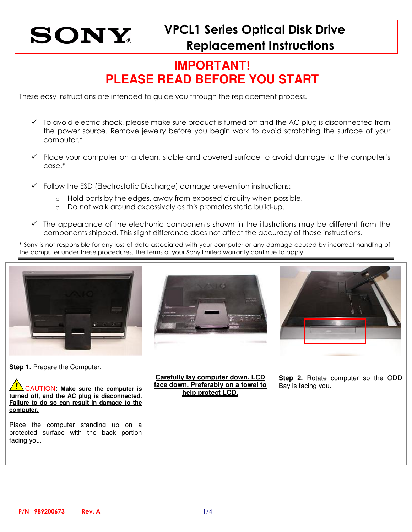## **IMPORTANT! PLEASE READ BEFORE YOU START**

These easy instructions are intended to guide you through the replacement process.

- $\checkmark$  To avoid electric shock, please make sure product is turned off and the AC plug is disconnected from the power source. Remove jewelry before you begin work to avoid scratching the surface of your computer.\*
- $\checkmark$  Place your computer on a clean, stable and covered surface to avoid damage to the computer's case.\*
- $\checkmark$  Follow the ESD (Electrostatic Discharge) damage prevention instructions:
	- o Hold parts by the edges, away from exposed circuitry when possible.
	- o Do not walk around excessively as this promotes static build-up.
- $\checkmark$  The appearance of the electronic components shown in the illustrations may be different from the components shipped. This slight difference does not affect the accuracy of these instructions.

\* Sony is not responsible for any loss of data associated with your computer or any damage caused by incorrect handling of the computer under these procedures. The terms of your Sony limited warranty continue to apply.

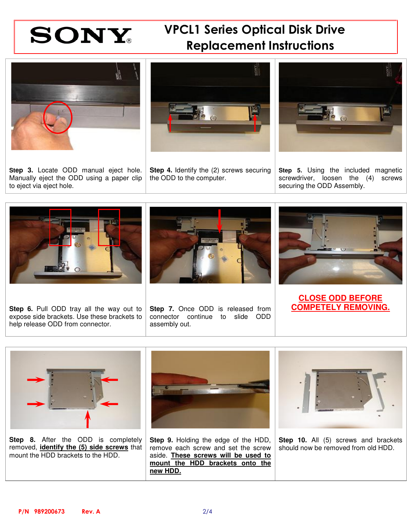

## VPCL1 Series Optical Disk Drive Replacement Instructions





**Step 3.** Locate ODD manual eject hole. Manually eject the ODD using a paper clip to eject via eject hole.

**Step 4.** Identify the (2) screws securing the ODD to the computer.



**Step 5.** Using the included magnetic screwdriver, loosen the (4) screws securing the ODD Assembly.



Step 6. Pull ODD tray all the way out to Step 7. Once ODD is released from **COMPETELY REMOVING.** expose side brackets. Use these brackets to help release ODD from connector.



**Step 7.** Once ODD is released from connector continue to slide ODD assembly out.



**CLOSE ODD BEFORE** 



**Step 8.** After the ODD is completely removed, **identify the (5) side screws** that mount the HDD brackets to the HDD.



**Step 9.** Holding the edge of the HDD, remove each screw and set the screw aside. **These screws will be used to mount the HDD brackets onto the new HDD.**



**Step 10.** All (5) screws and brackets should now be removed from old HDD.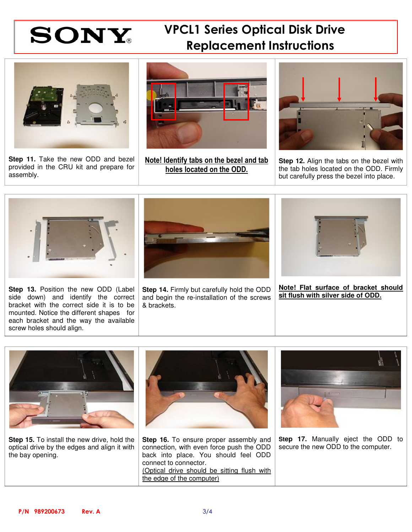# SONY<sup>WCL1</sup> Series Optical Disk Drive Replacement Instructions



**Step 11.** Take the new ODD and bezel provided in the CRU kit and prepare for assembly.



Note! Identify tabs on the bezel and tab holes located on the ODD.



**Step 12.** Align the tabs on the bezel with the tab holes located on the ODD. Firmly but carefully press the bezel into place.



**Step 13.** Position the new ODD (Label side down) and identify the correct bracket with the correct side it is to be mounted. Notice the different shapes for each bracket and the way the available screw holes should align.



**Step 14.** Firmly but carefully hold the ODD and begin the re-installation of the screws & brackets.



**Note! Flat surface of bracket should sit flush with silver side of ODD.**



**Step 15.** To install the new drive, hold the optical drive by the edges and align it with the bay opening.



**Step 16.** To ensure proper assembly and connection, with even force push the ODD back into place. You should feel ODD connect to connector. (Optical drive should be sitting flush with the edge of the computer)



**Step 17.** Manually eject the ODD to secure the new ODD to the computer.